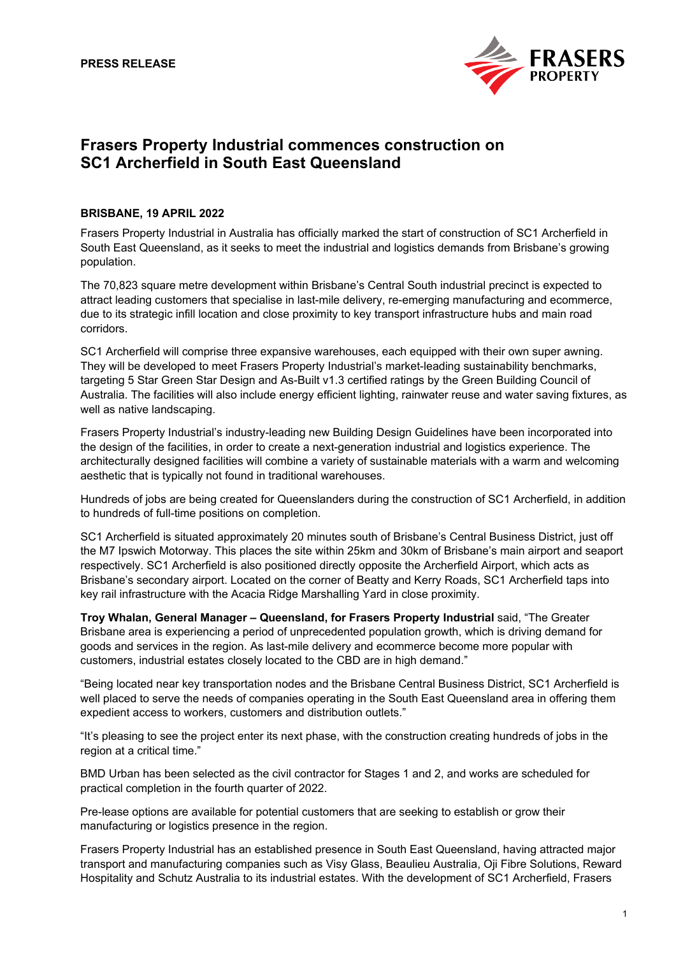

# **Frasers Property Industrial commences construction on SC1 Archerfield in South East Queensland**

## **BRISBANE, 19 APRIL 2022**

Frasers Property Industrial in Australia has officially marked the start of construction of SC1 Archerfield in South East Queensland, as it seeks to meet the industrial and logistics demands from Brisbane's growing population.

The 70,823 square metre development within Brisbane's Central South industrial precinct is expected to attract leading customers that specialise in last-mile delivery, re-emerging manufacturing and ecommerce, due to its strategic infill location and close proximity to key transport infrastructure hubs and main road corridors.

SC1 Archerfield will comprise three expansive warehouses, each equipped with their own super awning. They will be developed to meet Frasers Property Industrial's market-leading sustainability benchmarks, targeting 5 Star Green Star Design and As-Built v1.3 certified ratings by the Green Building Council of Australia. The facilities will also include energy efficient lighting, rainwater reuse and water saving fixtures, as well as native landscaping.

Frasers Property Industrial's industry-leading new Building Design Guidelines have been incorporated into the design of the facilities, in order to create a next-generation industrial and logistics experience. The architecturally designed facilities will combine a variety of sustainable materials with a warm and welcoming aesthetic that is typically not found in traditional warehouses.

Hundreds of jobs are being created for Queenslanders during the construction of SC1 Archerfield, in addition to hundreds of full-time positions on completion.

SC1 Archerfield is situated approximately 20 minutes south of Brisbane's Central Business District, just off the M7 Ipswich Motorway. This places the site within 25km and 30km of Brisbane's main airport and seaport respectively. SC1 Archerfield is also positioned directly opposite the Archerfield Airport, which acts as Brisbane's secondary airport. Located on the corner of Beatty and Kerry Roads, SC1 Archerfield taps into key rail infrastructure with the Acacia Ridge Marshalling Yard in close proximity.

**Troy Whalan, General Manager – Queensland, for Frasers Property Industrial** said, "The Greater Brisbane area is experiencing a period of unprecedented population growth, which is driving demand for goods and services in the region. As last-mile delivery and ecommerce become more popular with customers, industrial estates closely located to the CBD are in high demand."

"Being located near key transportation nodes and the Brisbane Central Business District, SC1 Archerfield is well placed to serve the needs of companies operating in the South East Queensland area in offering them expedient access to workers, customers and distribution outlets."

"It's pleasing to see the project enter its next phase, with the construction creating hundreds of jobs in the region at a critical time."

BMD Urban has been selected as the civil contractor for Stages 1 and 2, and works are scheduled for practical completion in the fourth quarter of 2022.

Pre-lease options are available for potential customers that are seeking to establish or grow their manufacturing or logistics presence in the region.

Frasers Property Industrial has an established presence in South East Queensland, having attracted major transport and manufacturing companies such as Visy Glass, Beaulieu Australia, Oji Fibre Solutions, Reward Hospitality and Schutz Australia to its industrial estates. With the development of SC1 Archerfield, Frasers